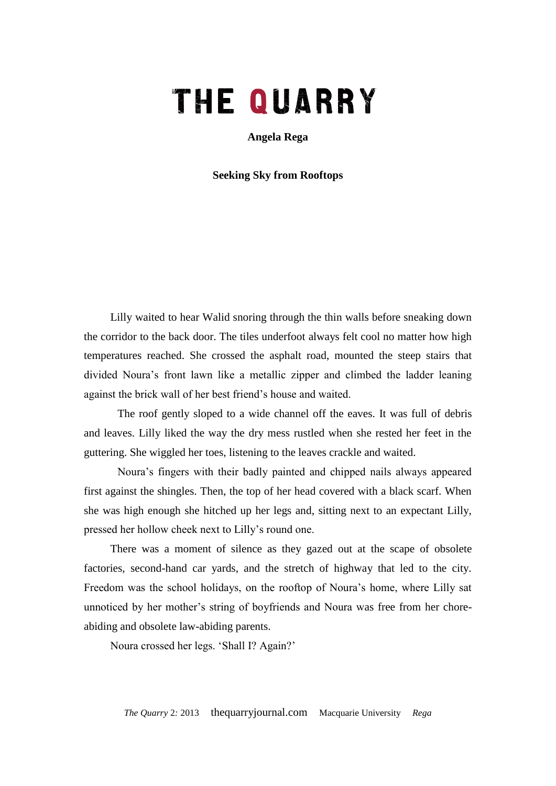## THE QUARRY

**Angela Rega**

**Seeking Sky from Rooftops**

Lilly waited to hear Walid snoring through the thin walls before sneaking down the corridor to the back door. The tiles underfoot always felt cool no matter how high temperatures reached. She crossed the asphalt road, mounted the steep stairs that divided Noura's front lawn like a metallic zipper and climbed the ladder leaning against the brick wall of her best friend's house and waited.

The roof gently sloped to a wide channel off the eaves. It was full of debris and leaves. Lilly liked the way the dry mess rustled when she rested her feet in the guttering. She wiggled her toes, listening to the leaves crackle and waited.

Noura's fingers with their badly painted and chipped nails always appeared first against the shingles. Then, the top of her head covered with a black scarf. When she was high enough she hitched up her legs and, sitting next to an expectant Lilly, pressed her hollow cheek next to Lilly's round one.

There was a moment of silence as they gazed out at the scape of obsolete factories, second-hand car yards, and the stretch of highway that led to the city. Freedom was the school holidays, on the rooftop of Noura's home, where Lilly sat unnoticed by her mother's string of boyfriends and Noura was free from her choreabiding and obsolete law-abiding parents.

Noura crossed her legs. 'Shall I? Again?'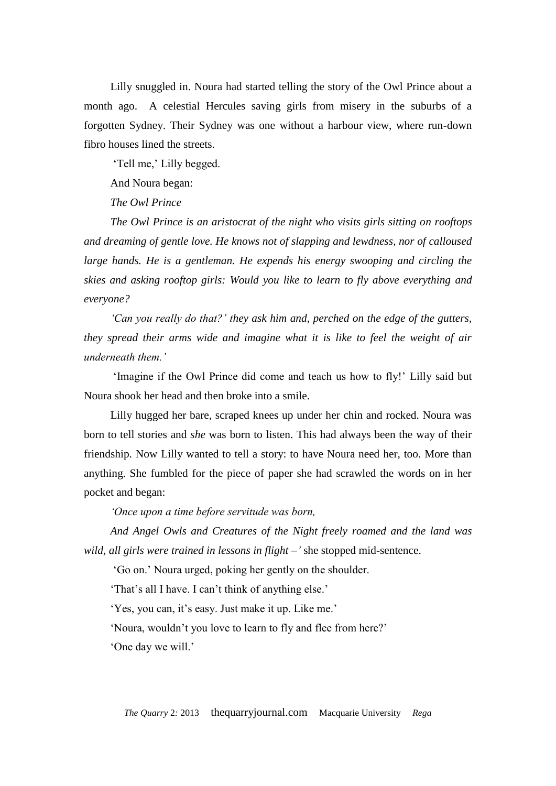Lilly snuggled in. Noura had started telling the story of the Owl Prince about a month ago. A celestial Hercules saving girls from misery in the suburbs of a forgotten Sydney. Their Sydney was one without a harbour view, where run-down fibro houses lined the streets.

'Tell me,' Lilly begged.

And Noura began:

*The Owl Prince* 

*The Owl Prince is an aristocrat of the night who visits girls sitting on rooftops and dreaming of gentle love. He knows not of slapping and lewdness, nor of calloused large hands. He is a gentleman. He expends his energy swooping and circling the skies and asking rooftop girls: Would you like to learn to fly above everything and everyone?*

*'Can you really do that?' they ask him and, perched on the edge of the gutters, they spread their arms wide and imagine what it is like to feel the weight of air underneath them.'*

'Imagine if the Owl Prince did come and teach us how to fly!' Lilly said but Noura shook her head and then broke into a smile.

Lilly hugged her bare, scraped knees up under her chin and rocked. Noura was born to tell stories and *she* was born to listen. This had always been the way of their friendship. Now Lilly wanted to tell a story: to have Noura need her, too. More than anything. She fumbled for the piece of paper she had scrawled the words on in her pocket and began:

*'Once upon a time before servitude was born,* 

*And Angel Owls and Creatures of the Night freely roamed and the land was wild, all girls were trained in lessons in flight –'* she stopped mid-sentence.

'Go on.' Noura urged, poking her gently on the shoulder.

'That's all I have. I can't think of anything else.'

'Yes, you can, it's easy. Just make it up. Like me.'

'Noura, wouldn't you love to learn to fly and flee from here?'

'One day we will.'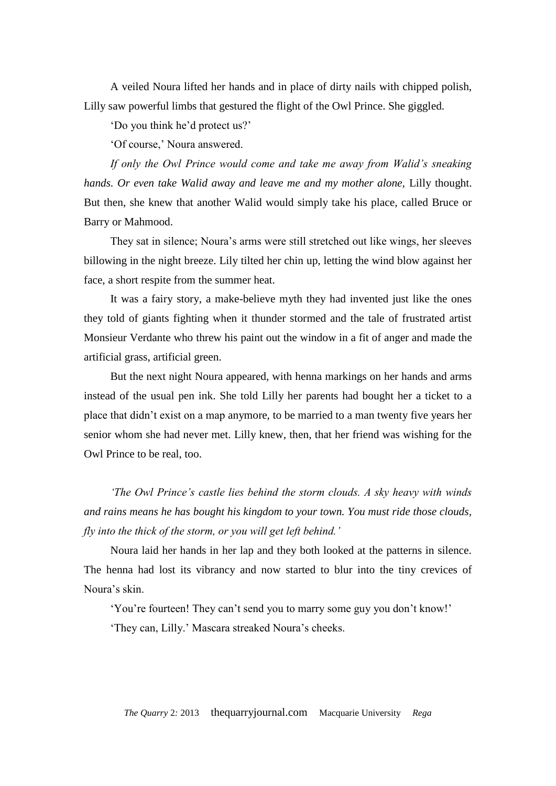A veiled Noura lifted her hands and in place of dirty nails with chipped polish, Lilly saw powerful limbs that gestured the flight of the Owl Prince. She giggled.

'Do you think he'd protect us?'

'Of course,' Noura answered.

*If only the Owl Prince would come and take me away from Walid's sneaking hands. Or even take Walid away and leave me and my mother alone, Lilly thought.* But then, she knew that another Walid would simply take his place, called Bruce or Barry or Mahmood.

They sat in silence; Noura's arms were still stretched out like wings, her sleeves billowing in the night breeze. Lily tilted her chin up, letting the wind blow against her face, a short respite from the summer heat.

It was a fairy story, a make-believe myth they had invented just like the ones they told of giants fighting when it thunder stormed and the tale of frustrated artist Monsieur Verdante who threw his paint out the window in a fit of anger and made the artificial grass, artificial green.

But the next night Noura appeared, with henna markings on her hands and arms instead of the usual pen ink. She told Lilly her parents had bought her a ticket to a place that didn't exist on a map anymore, to be married to a man twenty five years her senior whom she had never met. Lilly knew, then, that her friend was wishing for the Owl Prince to be real, too.

*'The Owl Prince's castle lies behind the storm clouds. A sky heavy with winds and rains means he has bought his kingdom to your town. You must ride those clouds, fly into the thick of the storm, or you will get left behind.'*

Noura laid her hands in her lap and they both looked at the patterns in silence. The henna had lost its vibrancy and now started to blur into the tiny crevices of Noura's skin.

'You're fourteen! They can't send you to marry some guy you don't know!' 'They can, Lilly.' Mascara streaked Noura's cheeks.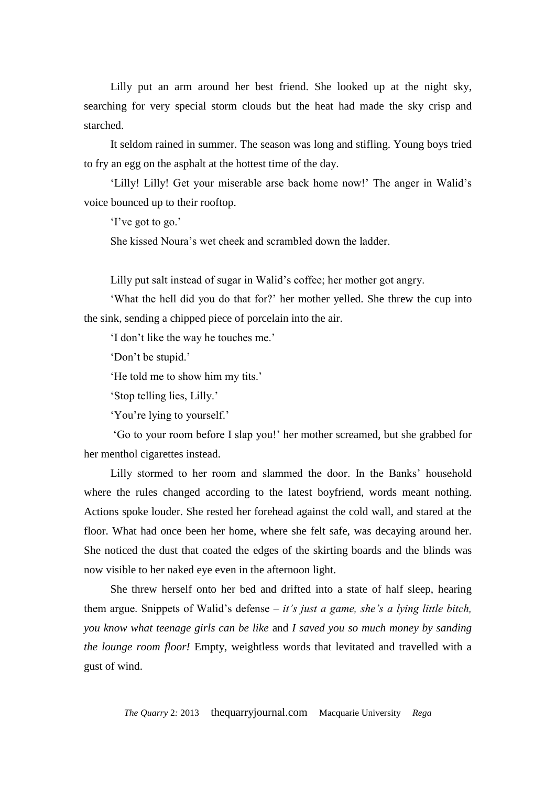Lilly put an arm around her best friend. She looked up at the night sky, searching for very special storm clouds but the heat had made the sky crisp and starched.

It seldom rained in summer. The season was long and stifling. Young boys tried to fry an egg on the asphalt at the hottest time of the day.

'Lilly! Lilly! Get your miserable arse back home now!' The anger in Walid's voice bounced up to their rooftop.

'I've got to go.'

She kissed Noura's wet cheek and scrambled down the ladder.

Lilly put salt instead of sugar in Walid's coffee; her mother got angry.

'What the hell did you do that for?' her mother yelled. She threw the cup into the sink, sending a chipped piece of porcelain into the air.

'I don't like the way he touches me.'

'Don't be stupid.'

'He told me to show him my tits.'

'Stop telling lies, Lilly.'

'You're lying to yourself.'

'Go to your room before I slap you!' her mother screamed, but she grabbed for her menthol cigarettes instead.

Lilly stormed to her room and slammed the door. In the Banks' household where the rules changed according to the latest boyfriend, words meant nothing. Actions spoke louder. She rested her forehead against the cold wall, and stared at the floor. What had once been her home, where she felt safe, was decaying around her. She noticed the dust that coated the edges of the skirting boards and the blinds was now visible to her naked eye even in the afternoon light.

She threw herself onto her bed and drifted into a state of half sleep, hearing them argue. Snippets of Walid's defense – *it's just a game, she's a lying little bitch, you know what teenage girls can be like* and *I saved you so much money by sanding the lounge room floor!* Empty, weightless words that levitated and travelled with a gust of wind.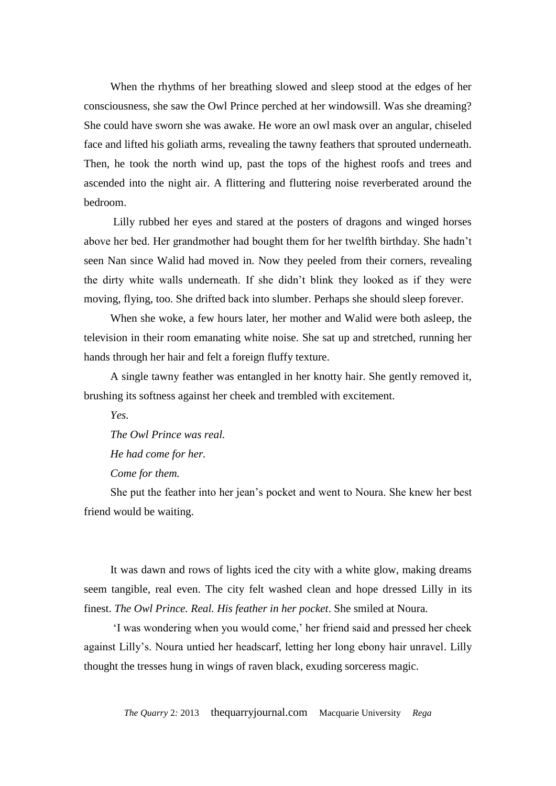When the rhythms of her breathing slowed and sleep stood at the edges of her consciousness, she saw the Owl Prince perched at her windowsill. Was she dreaming? She could have sworn she was awake. He wore an owl mask over an angular, chiseled face and lifted his goliath arms, revealing the tawny feathers that sprouted underneath. Then, he took the north wind up, past the tops of the highest roofs and trees and ascended into the night air. A flittering and fluttering noise reverberated around the bedroom.

Lilly rubbed her eyes and stared at the posters of dragons and winged horses above her bed. Her grandmother had bought them for her twelfth birthday. She hadn't seen Nan since Walid had moved in. Now they peeled from their corners, revealing the dirty white walls underneath. If she didn't blink they looked as if they were moving, flying, too. She drifted back into slumber. Perhaps she should sleep forever.

When she woke, a few hours later, her mother and Walid were both asleep, the television in their room emanating white noise. She sat up and stretched, running her hands through her hair and felt a foreign fluffy texture.

A single tawny feather was entangled in her knotty hair. She gently removed it, brushing its softness against her cheek and trembled with excitement.

*Yes.* 

*The Owl Prince was real.* 

*He had come for her.* 

*Come for them.*

She put the feather into her jean's pocket and went to Noura. She knew her best friend would be waiting.

It was dawn and rows of lights iced the city with a white glow, making dreams seem tangible, real even. The city felt washed clean and hope dressed Lilly in its finest. *The Owl Prince. Real. His feather in her pocket*. She smiled at Noura.

'I was wondering when you would come,' her friend said and pressed her cheek against Lilly's. Noura untied her headscarf, letting her long ebony hair unravel. Lilly thought the tresses hung in wings of raven black, exuding sorceress magic.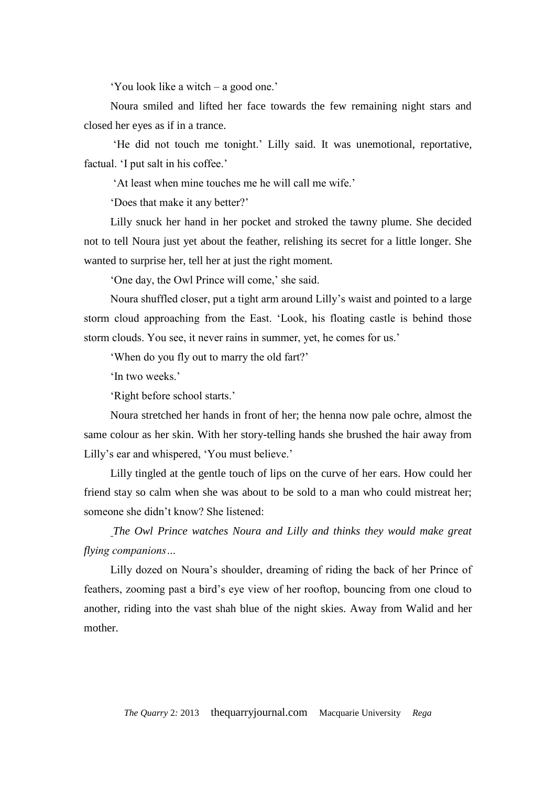'You look like a witch – a good one.'

Noura smiled and lifted her face towards the few remaining night stars and closed her eyes as if in a trance.

'He did not touch me tonight.' Lilly said. It was unemotional, reportative, factual. 'I put salt in his coffee.'

'At least when mine touches me he will call me wife.'

'Does that make it any better?'

Lilly snuck her hand in her pocket and stroked the tawny plume. She decided not to tell Noura just yet about the feather, relishing its secret for a little longer. She wanted to surprise her, tell her at just the right moment.

'One day, the Owl Prince will come,' she said.

Noura shuffled closer, put a tight arm around Lilly's waist and pointed to a large storm cloud approaching from the East. 'Look, his floating castle is behind those storm clouds. You see, it never rains in summer, yet, he comes for us.'

'When do you fly out to marry the old fart?'

'In two weeks.'

'Right before school starts.'

Noura stretched her hands in front of her; the henna now pale ochre, almost the same colour as her skin. With her story-telling hands she brushed the hair away from Lilly's ear and whispered, 'You must believe.'

Lilly tingled at the gentle touch of lips on the curve of her ears. How could her friend stay so calm when she was about to be sold to a man who could mistreat her; someone she didn't know? She listened:

*The Owl Prince watches Noura and Lilly and thinks they would make great flying companions…*

Lilly dozed on Noura's shoulder, dreaming of riding the back of her Prince of feathers, zooming past a bird's eye view of her rooftop, bouncing from one cloud to another, riding into the vast shah blue of the night skies. Away from Walid and her mother.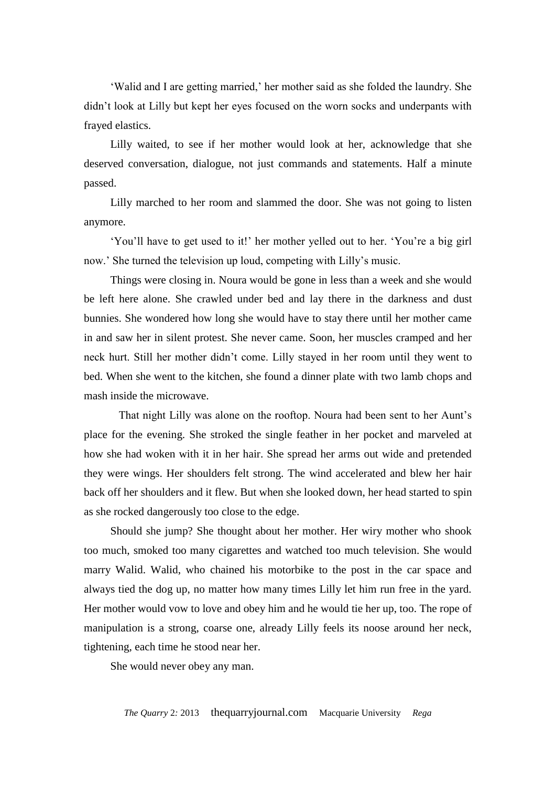'Walid and I are getting married,' her mother said as she folded the laundry. She didn't look at Lilly but kept her eyes focused on the worn socks and underpants with frayed elastics.

Lilly waited, to see if her mother would look at her, acknowledge that she deserved conversation, dialogue, not just commands and statements. Half a minute passed.

Lilly marched to her room and slammed the door. She was not going to listen anymore.

'You'll have to get used to it!' her mother yelled out to her. 'You're a big girl now.' She turned the television up loud, competing with Lilly's music.

Things were closing in. Noura would be gone in less than a week and she would be left here alone. She crawled under bed and lay there in the darkness and dust bunnies. She wondered how long she would have to stay there until her mother came in and saw her in silent protest. She never came. Soon, her muscles cramped and her neck hurt. Still her mother didn't come. Lilly stayed in her room until they went to bed. When she went to the kitchen, she found a dinner plate with two lamb chops and mash inside the microwave.

 That night Lilly was alone on the rooftop. Noura had been sent to her Aunt's place for the evening. She stroked the single feather in her pocket and marveled at how she had woken with it in her hair. She spread her arms out wide and pretended they were wings. Her shoulders felt strong. The wind accelerated and blew her hair back off her shoulders and it flew. But when she looked down, her head started to spin as she rocked dangerously too close to the edge.

Should she jump? She thought about her mother. Her wiry mother who shook too much, smoked too many cigarettes and watched too much television. She would marry Walid. Walid, who chained his motorbike to the post in the car space and always tied the dog up, no matter how many times Lilly let him run free in the yard. Her mother would vow to love and obey him and he would tie her up, too. The rope of manipulation is a strong, coarse one, already Lilly feels its noose around her neck, tightening, each time he stood near her.

She would never obey any man.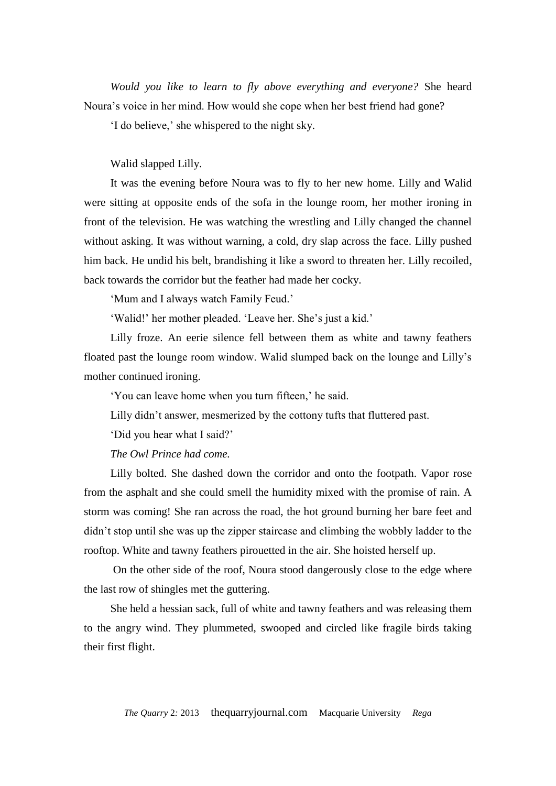*Would you like to learn to fly above everything and everyone?* She heard Noura's voice in her mind. How would she cope when her best friend had gone?

'I do believe,' she whispered to the night sky.

Walid slapped Lilly.

It was the evening before Noura was to fly to her new home. Lilly and Walid were sitting at opposite ends of the sofa in the lounge room, her mother ironing in front of the television. He was watching the wrestling and Lilly changed the channel without asking. It was without warning, a cold, dry slap across the face. Lilly pushed him back. He undid his belt, brandishing it like a sword to threaten her. Lilly recoiled, back towards the corridor but the feather had made her cocky.

'Mum and I always watch Family Feud.'

'Walid!' her mother pleaded. 'Leave her. She's just a kid.'

Lilly froze. An eerie silence fell between them as white and tawny feathers floated past the lounge room window. Walid slumped back on the lounge and Lilly's mother continued ironing.

'You can leave home when you turn fifteen,' he said.

Lilly didn't answer, mesmerized by the cottony tufts that fluttered past.

'Did you hear what I said?'

*The Owl Prince had come.* 

Lilly bolted. She dashed down the corridor and onto the footpath. Vapor rose from the asphalt and she could smell the humidity mixed with the promise of rain. A storm was coming! She ran across the road, the hot ground burning her bare feet and didn't stop until she was up the zipper staircase and climbing the wobbly ladder to the rooftop. White and tawny feathers pirouetted in the air. She hoisted herself up.

On the other side of the roof, Noura stood dangerously close to the edge where the last row of shingles met the guttering.

She held a hessian sack, full of white and tawny feathers and was releasing them to the angry wind. They plummeted, swooped and circled like fragile birds taking their first flight.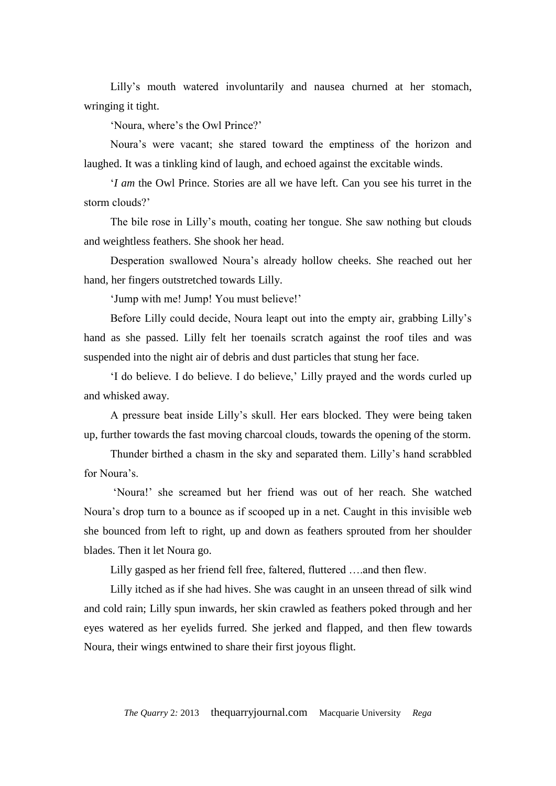Lilly's mouth watered involuntarily and nausea churned at her stomach, wringing it tight.

'Noura, where's the Owl Prince?'

Noura's were vacant; she stared toward the emptiness of the horizon and laughed. It was a tinkling kind of laugh, and echoed against the excitable winds.

'*I am* the Owl Prince. Stories are all we have left. Can you see his turret in the storm clouds?'

The bile rose in Lilly's mouth, coating her tongue. She saw nothing but clouds and weightless feathers. She shook her head.

Desperation swallowed Noura's already hollow cheeks. She reached out her hand, her fingers outstretched towards Lilly.

'Jump with me! Jump! You must believe!'

Before Lilly could decide, Noura leapt out into the empty air, grabbing Lilly's hand as she passed. Lilly felt her toenails scratch against the roof tiles and was suspended into the night air of debris and dust particles that stung her face.

'I do believe. I do believe. I do believe,' Lilly prayed and the words curled up and whisked away.

A pressure beat inside Lilly's skull. Her ears blocked. They were being taken up, further towards the fast moving charcoal clouds, towards the opening of the storm.

Thunder birthed a chasm in the sky and separated them. Lilly's hand scrabbled for Noura's.

'Noura!' she screamed but her friend was out of her reach. She watched Noura's drop turn to a bounce as if scooped up in a net. Caught in this invisible web she bounced from left to right, up and down as feathers sprouted from her shoulder blades. Then it let Noura go.

Lilly gasped as her friend fell free, faltered, fluttered ….and then flew.

Lilly itched as if she had hives. She was caught in an unseen thread of silk wind and cold rain; Lilly spun inwards, her skin crawled as feathers poked through and her eyes watered as her eyelids furred. She jerked and flapped, and then flew towards Noura, their wings entwined to share their first joyous flight.